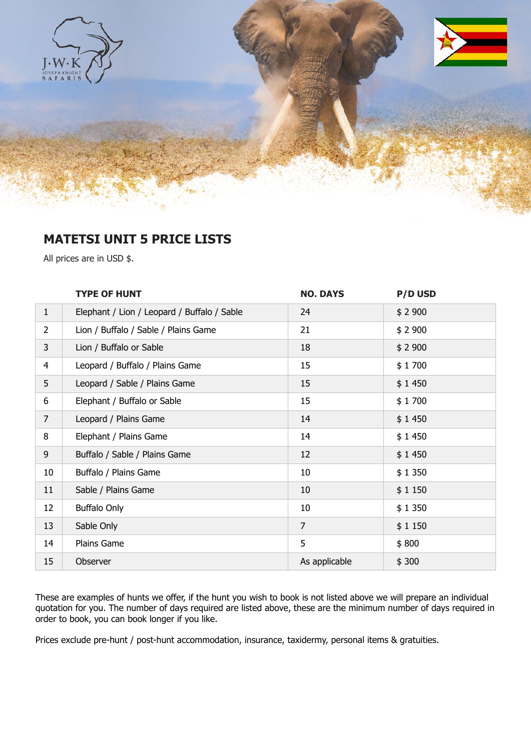

## **MATETSI UNIT 5 PRICE LISTS**

All prices are in USD \$.

|                | <b>TYPE OF HUNT</b>                         | <b>NO. DAYS</b> | <b>P/D USD</b> |
|----------------|---------------------------------------------|-----------------|----------------|
| $\mathbf{1}$   | Elephant / Lion / Leopard / Buffalo / Sable | 24              | \$2900         |
| $\overline{2}$ | Lion / Buffalo / Sable / Plains Game        | 21              | \$2900         |
| 3              | Lion / Buffalo or Sable                     | 18              | \$2900         |
| $\overline{4}$ | Leopard / Buffalo / Plains Game             | 15              | \$1700         |
| 5              | Leopard / Sable / Plains Game               | 15              | \$1450         |
| 6              | Elephant / Buffalo or Sable                 | 15              | \$1700         |
| $\overline{7}$ | Leopard / Plains Game                       | 14              | \$1450         |
| 8              | Elephant / Plains Game                      | 14              | \$1450         |
| 9              | Buffalo / Sable / Plains Game               | 12              | \$1450         |
| 10             | Buffalo / Plains Game                       | 10              | \$1350         |
| 11             | Sable / Plains Game                         | 10              | \$1150         |
| 12             | <b>Buffalo Only</b>                         | 10              | \$1350         |
| 13             | Sable Only                                  | $\overline{7}$  | \$1150         |
| 14             | Plains Game                                 | 5               | \$800          |
| 15             | Observer                                    | As applicable   | \$300          |

These are examples of hunts we offer, if the hunt you wish to book is not listed above we will prepare an individual quotation for you. The number of days required are listed above, these are the minimum number of days required in order to book, you can book longer if you like.

Prices exclude pre-hunt / post-hunt accommodation, insurance, taxidermy, personal items & gratuities.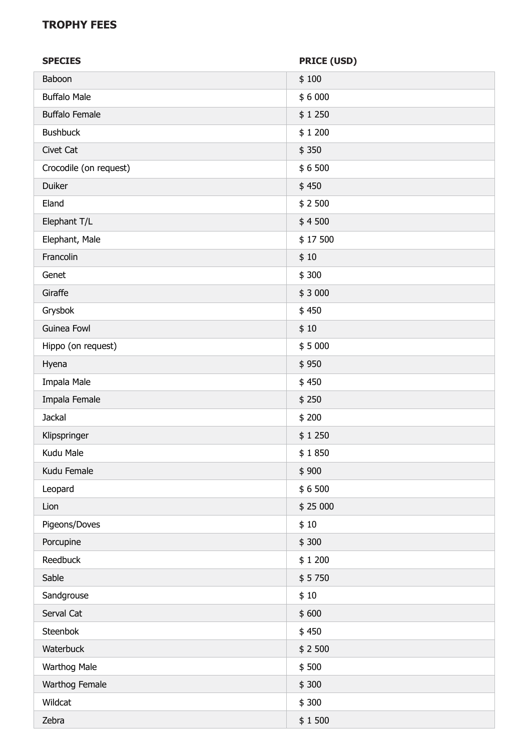## **TROPHY FEES**

| <b>SPECIES</b>         | <b>PRICE (USD)</b> |  |
|------------------------|--------------------|--|
| Baboon                 | \$100              |  |
| <b>Buffalo Male</b>    | \$6000             |  |
| <b>Buffalo Female</b>  | \$1250             |  |
| <b>Bushbuck</b>        | \$1200             |  |
| Civet Cat              | \$350              |  |
| Crocodile (on request) | \$6500             |  |
| Duiker                 | \$450              |  |
| Eland                  | \$2500             |  |
| Elephant T/L           | \$4500             |  |
| Elephant, Male         | \$17500            |  |
| Francolin              | \$10               |  |
| Genet                  | \$300              |  |
| Giraffe                | \$3000             |  |
| Grysbok                | \$450              |  |
| Guinea Fowl            | \$10               |  |
| Hippo (on request)     | \$5000             |  |
| Hyena                  | \$950              |  |
| Impala Male            | \$450              |  |
| Impala Female          | \$250              |  |
| Jackal                 | \$200              |  |
| Klipspringer           | \$1250             |  |
| Kudu Male              | \$1850             |  |
| Kudu Female            | \$900              |  |
| Leopard                | \$6500             |  |
| Lion                   | \$25 000           |  |
| Pigeons/Doves          | \$10               |  |
| Porcupine              | \$300              |  |
| Reedbuck               | \$1200             |  |
| Sable                  | \$5750             |  |
| Sandgrouse             | \$10               |  |
| Serval Cat             | \$600              |  |
| Steenbok               | \$450              |  |
| Waterbuck              | \$2500             |  |
| Warthog Male           | \$500              |  |
| Warthog Female         | \$300              |  |
| Wildcat                | \$300              |  |
| Zebra                  | \$1500             |  |